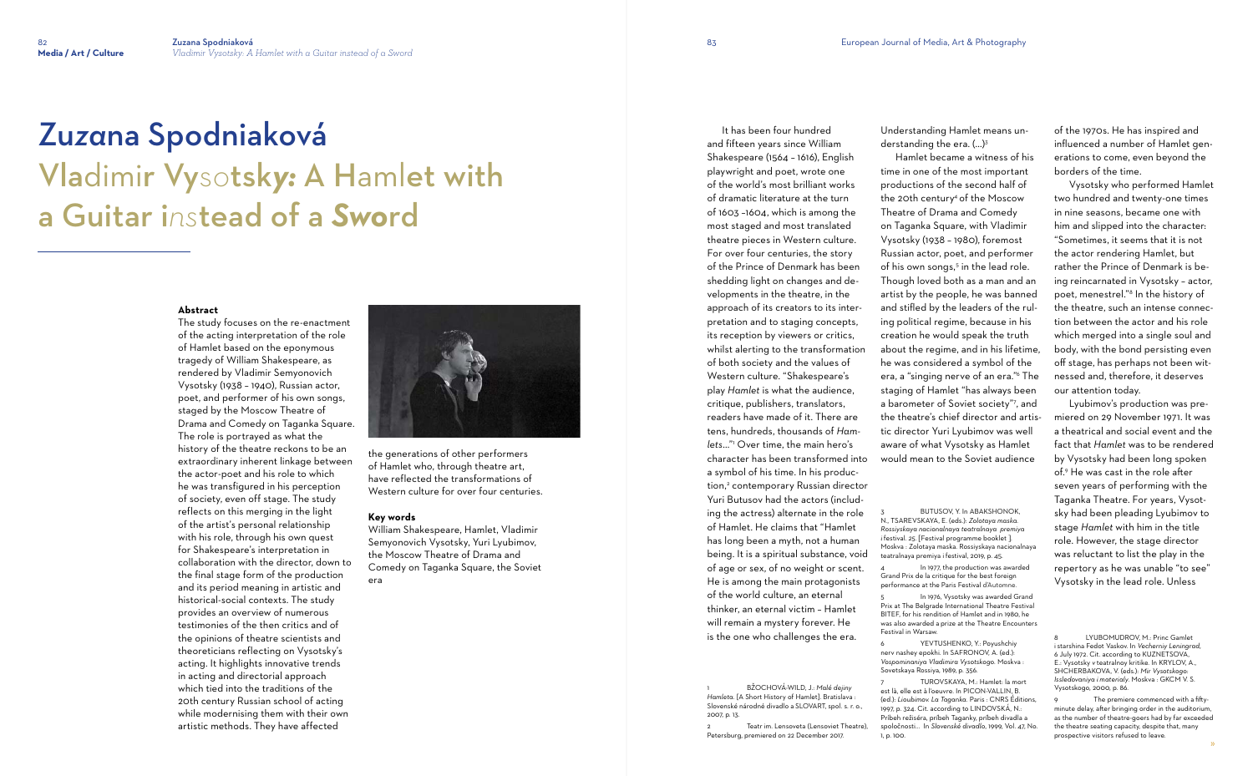# Zu*za*na Spodniaková Vladimir Vys*o*tsk*y:* A Hamlet with a Guitar i*ns*tead of a *Swo*rd

### **Abstract**

The study focuses on the re-enactment of the acting interpretation of the role of Hamlet based on the eponymous tragedy of William Shakespeare, as rendered by Vladimir Semyonovich Vysotsky (1938 – 1940), Russian actor, poet, and performer of his own songs, staged by the Moscow Theatre of Drama and Comedy on Taganka Square. The role is portrayed as what the history of the theatre reckons to be an extraordinary inherent linkage between the actor-poet and his role to which he was transfigured in his perception of society, even off stage. The study reflects on this merging in the light of the artist's personal relationship with his role, through his own quest for Shakespeare's interpretation in collaboration with the director, down to the final stage form of the production and its period meaning in artistic and historical-social contexts. The study provides an overview of numerous testimonies of the then critics and of the opinions of theatre scientists and theoreticians reflecting on Vysotsky's acting. It highlights innovative trends in acting and directorial approach which tied into the traditions of the 20th century Russian school of acting while modernising them with their own artistic methods. They have affected



the generations of other performers of Hamlet who, through theatre art, have reflected the transformations of Western culture for over four centuries.

## **Key words**

Teatr im. Lensoveta (Lensoviet Theatre), Petersburg, premiered on 22 December 2017.

Understanding Hamlet means understanding the era. (...)<sup>3</sup>

William Shakespeare, Hamlet, Vladimir Semyonovich Vysotsky, Yuri Lyubimov, the Moscow Theatre of Drama and Comedy on Taganka Square, the Soviet era

In 1977, the production was awarded Grand Prix de la critique for the best foreign performance at the Paris Festival d'Automne.

In 1976, Vysotsky was awarded Grand Prix at The Belgrade International Theatre Festival BITEF, for his rendition of Hamlet and in 1980, he was also awarded a prize at the Theatre Encounters Festival in Warsaw. YEVTUSHENKO, Y. Povushchiv

 It has been four hundred and fifteen years since William Shakespeare (1564 – 1616), English playwright and poet, wrote one of the world's most brilliant works of dramatic literature at the turn of 1603 –1604, which is among the most staged and most translated theatre pieces in Western culture. For over four centuries, the story of the Prince of Denmark has been shedding light on changes and developments in the theatre, in the approach of its creators to its interpretation and to staging concepts, its reception by viewers or critics, whilst alerting to the transformation of both society and the values of Western culture. "Shakespeare's play *Hamlet* is what the audience, critique, publishers, translators, readers have made of it. There are tens, hundreds, thousands of *Hamlets*..."<sup>1</sup> Over time, the main hero's character has been transformed into a symbol of his time. In his production,<sup>2</sup> contemporary Russian director Yuri Butusov had the actors (including the actress) alternate in the role of Hamlet. He claims that "Hamlet has long been a myth, not a human being. It is a spiritual substance, void of age or sex, of no weight or scent. He is among the main protagonists of the world culture, an eternal thinker, an eternal victim – Hamlet will remain a mystery forever. He is the one who challenges the era.

1 BŽOCHOVÁ-WILD, J.: *Malé dejiny Hamleta.* [A Short History of Hamlet]. Bratislava : Slovenské národné divadlo a SLOVART, spol. s. r. o., 2007, p. 13.

Hamlet became a witness of his time in one of the most important productions of the second half of the 20th century<sup>4</sup> of the Moscow Theatre of Drama and Comedy on Taganka Square, with Vladimir Vysotsky (1938 – 1980), foremost Russian actor, poet, and performer of his own songs,<sup>5</sup> in the lead role. Though loved both as a man and an artist by the people, he was banned and stifled by the leaders of the ruling political regime, because in his creation he would speak the truth about the regime, and in his lifetime, he was considered a symbol of the era, a "singing nerve of an era."<sup>6</sup> The staging of Hamlet "has always been a barometer of Soviet society"<sup>7</sup> , and the theatre's chief director and artistic director Yuri Lyubimov was well aware of what Vysotsky as Hamlet would mean to the Soviet audience

nerv nashey epokhi. In SAFRONOV, A. (ed.): *Vospominaniya Vladimira Vysotskogo.* Moskva : Sovetskaya Rossiya, 1989, p. 356.

7 TUROVSKAYA, M.: Hamlet: la mort est là, elle est à l'oeuvre. In PICON-VALLIN, B. (ed.): *Lioubimov. La Taganka.* Paris : CNRS Éditions, 1997, p. 324. Cit. according to LINDOVSKÁ, N.: Príbeh režiséra, príbeh Taganky, príbeh divadla a spoločnosti... In *Slovenské divadlo*, 1999, Vol. 47, No. 1, p. 100.

of the 1970s. He has inspired and influenced a number of Hamlet generations to come, even beyond the borders of the time.

 Vysotsky who performed Hamlet two hundred and twenty-one times in nine seasons, became one with him and slipped into the character: "Sometimes, it seems that it is not the actor rendering Hamlet, but rather the Prince of Denmark is being reincarnated in Vysotsky – actor, poet, menestrel." 8 In the history of the theatre, such an intense connection between the actor and his role which merged into a single soul and body, with the bond persisting even off stage, has perhaps not been witnessed and, therefore, it deserves our attention today.

 Lyubimov's production was premiered on 29 November 1971. It was a theatrical and social event and the fact that *Hamlet* was to be rendered by Vysotsky had been long spoken of. 9 He was cast in the role after seven years of performing with the Taganka Theatre. For years, Vysotsky had been pleading Lyubimov to stage *Hamlet* with him in the title role. However, the stage director was reluctant to list the play in the repertory as he was unable "to see" Vysotsky in the lead role. Unless

BUTUSOV, Y. In ABAKSHONOK, N., TSAREVSKAYA, E. (eds.): *Zolotaya maska. Rossiyskaya nacionalnaya teatralnaya premiya i* festival*. 25.* [Festival programme booklet ]. Moskva : Zolotaya maska. Rossiyskaya nacionalnaya teatralnaya premiya i festival, 2019, p. 45.

The premiere commenced with a fiftyminute delay, after bringing order in the auditorium, as the number of theatre-goers had by far exceeded the theatre seating capacity, despite that, many prospective visitors refused to leave.

<sup>8</sup> LYUBOMUDROV, M.: Princ Gamlet i starshina Fedot Vaskov. In *Vecherniy Leningrad*, 6 July 1972. Cit. according to KUZNETSOVA, E.: Vysotsky *v* teatralnoy kritike. In KRYLOV, A., SHCHERBAKOVA, V. (eds.): *Mir Vysotskogo: Issledovaniya i materialy*. Moskva : GKCM V. S. Vysotskogo, 2000, p. 86.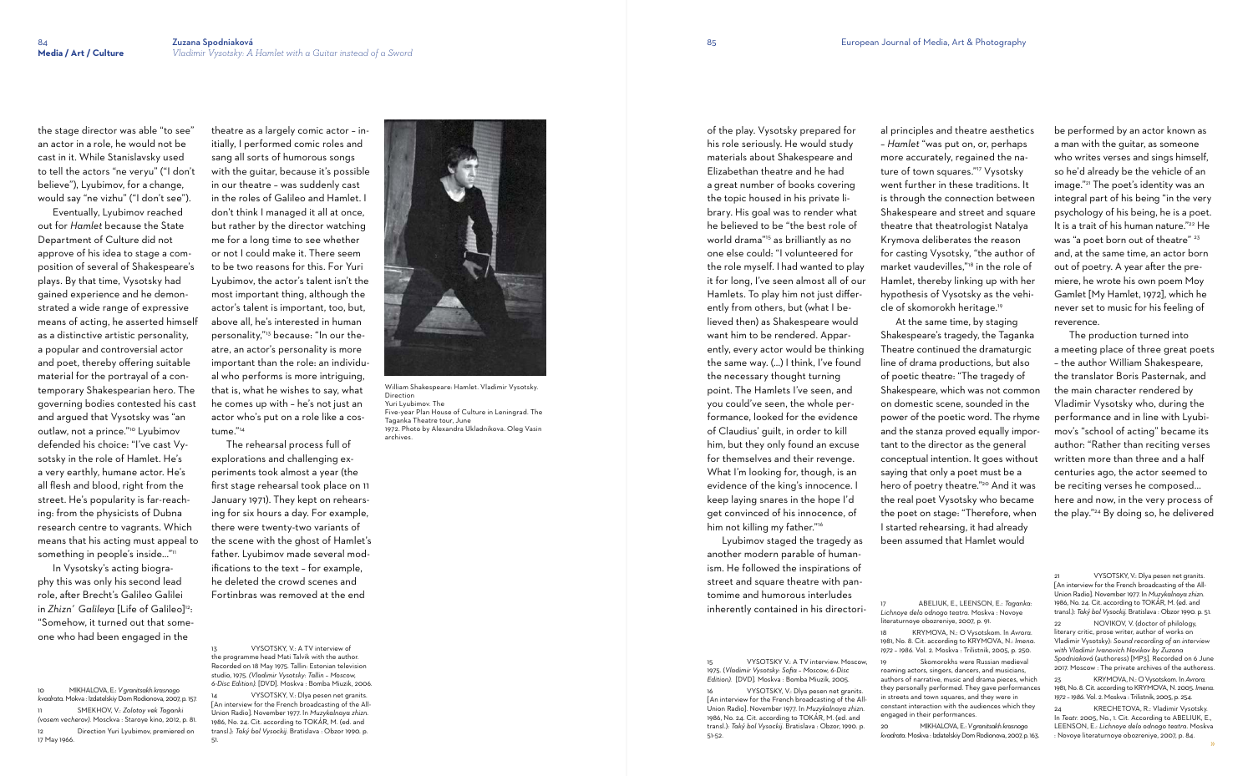Eventually, Lyubimov reached out for *Hamlet* because the State Department of Culture did not approve of his idea to stage a composition of several of Shakespeare's plays. By that time, Vysotsky had gained experience and he demonstrated a wide range of expressive means of acting, he asserted himself as a distinctive artistic personality, a popular and controversial actor and poet, thereby offering suitable material for the portrayal of a contemporary Shakespearian hero. The governing bodies contested his cast and argued that Vysotsky was "an outlaw, not a prince."10 Lyubimov defended his choice: "I've cast Vysotsky in the role of Hamlet. He's a very earthly, humane actor. He's all flesh and blood, right from the street. He's popularity is far-reaching: from the physicists of Dubna research centre to vagrants. Which means that his acting must appeal to something in people's inside..."11

the stage director was able "to see" an actor in a role, he would not be cast in it. While Stanislavsky used to tell the actors "ne veryu" ("I don't believe"), Lyubimov, for a change, would say "ne vizhu" ("I don't see").

In Vysotsky's acting biography this was only his second lead role, after Brecht's Galileo Galilei in *Zhizn'* Galileya [Life of Galileo]<sup>12</sup>: "Somehow, it turned out that someone who had been engaged in the

> VYSOTSKY, V.: A TV interview of the programme head Mati Talvik with the author. Recorded on 18 May 1975. Tallin: Estonian television studio, 1975. *(Vladimir Vysotsky: Tallin – Moscow, 6-Disc Edition).* [DVD]. Moskva : Bomba Miuzik, 2006.

10 MIKHALOVA, E.: *Vgranitsakh krasnogo kvadrata*. Mokva : Izdatelskiy Dom Rodionova, 2007, p. 157. 11 SMEKHOV, V.: *Zolotoy vek Taganki (vosem vecherov)*. Mosckva : Staroye kino, 2012, p. 81. 12 Direction Yuri Lyubimov, premiered on 17 May 1966.

VYSOTSKY, V.: Dlya pesen net granits. [An interview for the French broadcasting of the All-Union Radio]. November 1977. In *Muzykalnaya zhizn.*  1986, No. 24. Cit. according to TOKÁR, M. (ed. and transl.): *Taký bol Vysockij.* Bratislava : Obzor 1990. p.

theatre as a largely comic actor – initially, I performed comic roles and sang all sorts of humorous songs with the guitar, because it's possible in our theatre – was suddenly cast in the roles of Galileo and Hamlet. I don't think I managed it all at once, but rather by the director watching me for a long time to see whether or not I could make it. There seem to be two reasons for this. For Yuri Lyubimov, the actor's talent isn't the most important thing, although the actor's talent is important, too, but, above all, he's interested in human personality,"13 because: "In our theatre, an actor's personality is more important than the role: an individual who performs is more intriguing, that is, what he wishes to say, what he comes up with – he's not just an actor who's put on a role like a costume."<sup>14</sup>

> VYSOTSKY, V.: Dlya pesen net granits. [An interview for the French broadcasting of the All-Union Radio]. November 1977. In *Muzykalnaya zhizn.* 1986, No. 24. Cit. according to TOKÁR, M. (ed. and transl.): *Taký bol Vysockij.* Bratislava : Obzor, 1990*.* p. 51-52.

 The rehearsal process full of explorations and challenging experiments took almost a year (the first stage rehearsal took place on 11 January 1971). They kept on rehearsing for six hours a day. For example, there were twenty-two variants of the scene with the ghost of Hamlet's father. Lyubimov made several modifications to the text – for example, he deleted the crowd scenes and Fortinbras was removed at the end

51.

of the play. Vysotsky prepared for his role seriously. He would study

materials about Shakespeare and Elizabethan theatre and he had a great number of books covering the topic housed in his private library. His goal was to render what he believed to be "the best role of world drama"15 as brilliantly as no one else could: "I volunteered for the role myself. I had wanted to play it for long, I've seen almost all of our Hamlets. To play him not just differently from others, but (what I believed then) as Shakespeare would want him to be rendered. Apparently, every actor would be thinking the same way. (...) I think, I've found the necessary thought turning point. The Hamlets I've seen, and you could've seen, the whole performance, looked for the evidence of Claudius' guilt, in order to kill him, but they only found an excuse for themselves and their revenge. What I'm looking for, though, is an evidence of the king's innocence. I keep laying snares in the hope I'd get convinced of his innocence, of

NOVIKOV, V. (doctor of philology literary critic, prose writer, author of works on Vladimir Vysotsky): *Sound recording of an interview with Vladimir Ivanovich Novikov by Zuzana Spodniaková* (authoress) [MP3]. Recorded on 6 June 2017. Moscow : The private archives of the authoress.

 Lyubimov staged the tragedy as another modern parable of humanism. He followed the inspirations of street and square theatre with pantomime and humorous interludes inherently contained in his directori-

him not killing my father."<sup>16</sup>

15 VYSOTSKY V.: A TV interview. Moscow, 1975. (*Vladimir Vysotsky: Sofia – Moscow, 6-Disc Edition).* [DVD]*.* Moskva : Bomba Miuzik, 2005.

al principles and theatre aesthetics – *Hamlet* "was put on, or, perhaps more accurately, regained the nature of town squares."17 Vysotsky went further in these traditions. It is through the connection between Shakespeare and street and square theatre that theatrologist Natalya Krymova deliberates the reason for casting Vysotsky, "the author of market vaudevilles,"18 in the role of Hamlet, thereby linking up with her hypothesis of Vysotsky as the vehicle of skomorokh heritage.<sup>19</sup>

 At the same time, by staging Shakespeare's tragedy, the Taganka Theatre continued the dramaturgic line of drama productions, but also of poetic theatre: "The tragedy of Shakespeare, which was not common on domestic scene, sounded in the power of the poetic word. The rhyme and the stanza proved equally important to the director as the general conceptual intention. It goes without saying that only a poet must be a hero of poetry theatre."20 And it was the real poet Vysotsky who became the poet on stage: "Therefore, when I started rehearsing, it had already been assumed that Hamlet would

17 ABELIUK, E., LEENSON, E.: *Taganka: Lichnoye delo odnogo teatra*. Moskva : Novoye literaturnoye obozreniye, 2007, p. 91. 18 KRYMOVA, N.: O Vysotskom. In *Avrora*. 1981, No. 8. Cit. according to KRYMOVA, N.: *Imena. 1972 – 1986.* Vol. 2. Moskva : Trilistnik, 2005, p. 250.

19 Skomorokhs were Russian medieval roaming actors, singers, dancers, and musicians, authors of narrative, music and drama pieces, which they personally performed. They gave performances in streets and town squares, and they were in constant interaction with the audiences which they engaged in their performances.

20 MIKHALOVA, E.: *Vgranitsakh krasnogo kvadrata*. Moskva : Izdatelskiy Dom Rodionova, 2007, p. 163. be performed by an actor known as a man with the guitar, as someone who writes verses and sings himself. so he'd already be the vehicle of an image." 21 The poet's identity was an integral part of his being "in the very psychology of his being, he is a poet. It is a trait of his human nature."<sup>22</sup> He was "a poet born out of theatre" 23 and, at the same time, an actor born out of poetry. A year after the premiere, he wrote his own poem Moy Gamlet [My Hamlet, 1972], which he never set to music for his feeling of reverence.

 The production turned into a meeting place of three great poets – the author William Shakespeare, the translator Boris Pasternak, and the main character rendered by Vladimir Vysotsky who, during the performance and in line with Lyubimov's "school of acting" became its author: "Rather than reciting verses written more than three and a half centuries ago, the actor seemed to be reciting verses he composed... here and now, in the very process of the play." 24 By doing so, he delivered

23 KRYMOVA, N.: OVysotskom. In *Avrora.* 1981, No. 8. Cit. according to KRYMOVA, N. 2005. *Imena. 1972 – 1986*. Vol. 2. Moskva : Trilistnik, 2005, p. 254.

24 KRECHETOVA, R.: Vladimir Vysotsky. In *Teatr.* 2005, No., 1. Cit. According to ABELIUK, E., LEENSON, E.: *Lichnoye delo odnogo teatra.* Moskva : Novoye literaturnoye obozreniye, 2007, p. 84.



William Shakespeare: Hamlet. Vladimir Vysotsky. Direction Yuri Lyubimov. The

Five-year Plan House of Culture in Leningrad. The Taganka Theatre tour, June 1972. Photo by Alexandra Ukladnikova. Oleg Vasin archives.

VYSOTSKY, V.: Dlya pesen net granits [An interview for the French broadcasting of the All-Union Radio]. November 1977. In *Muzykalnaya zhizn.* 1986, No. 24. Cit. according to TOKÁR, M. (ed. and transl.): *Taký bol Vysockij.* Bratislava : Obzor 1990*.* p. 51.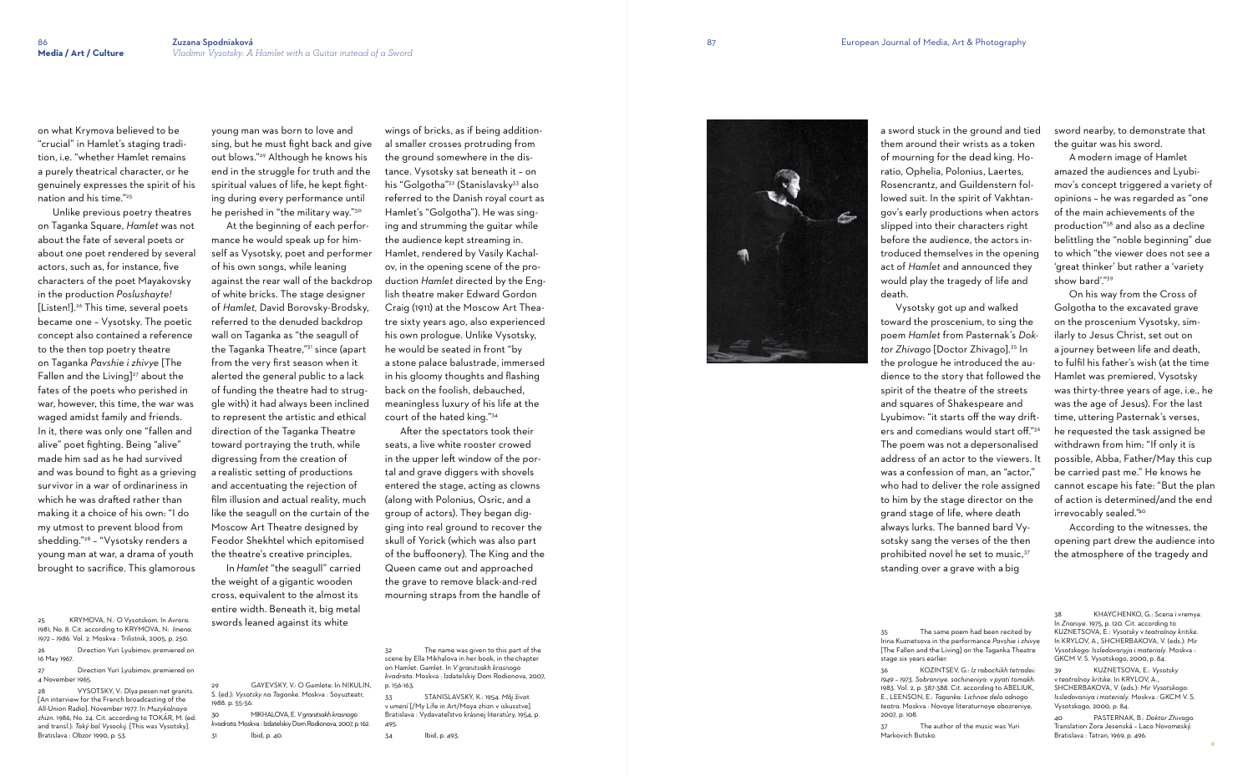on what Krymova believed to be "crucial" in Hamlet's staging tradition, i.e. "whether Hamlet remains a purely theatrical character, or he genuinely expresses the spirit of his nation and his time."<sup>25</sup>

 Unlike previous poetry theatres on Taganka Square, *Hamlet* was not about the fate of several poets or about one poet rendered by several actors, such as, for instance, five characters of the poet Mayakovsky in the production *Poslushayte!* [Listen!].26 This time, several poets became one – Vysotsky. The poetic concept also contained a reference to the then top poetry theatre on Taganka *Pavshie i zhivye* [The Fallen and the Living] $27$  about the fates of the poets who perished in war, however, this time, the war was waged amidst family and friends. In it, there was only one "fallen and alive" poet fighting. Being "alive" made him sad as he had survived and was bound to fight as a grieving survivor in a war of ordinariness in which he was drafted rather than making it a choice of his own: "I do my utmost to prevent blood from shedding."28 – "Vysotsky renders a young man at war, a drama of youth brought to sacrifice. This glamorous

young man was born to love and sing, but he must fight back and give out blows."29 Although he knows his end in the struggle for truth and the spiritual values of life, he kept fighting during every performance until he perished in "the military way."<sup>30</sup>

27 Direction Yuri Lyubimov, premiered on 4 November 1965.

28 VYSOTSKY, V.: Dlya pesen net granits. [An interview for the French broadcasting of the All-Union Radio]. November 1977. In *Muzykalnaya zhizn.* 1986, No. 24. Cit. according to TOKÁR, M. (ed. and transl.): *Taký bol Vysockij.* [This was Vysotsky]. Bratislava : Obzor 1990, p. 53.

 At the beginning of each performance he would speak up for himself as Vysotsky, poet and performer of his own songs, while leaning against the rear wall of the backdrop of white bricks. The stage designer of *Hamlet,* David Borovsky-Brodsky, referred to the denuded backdrop wall on Taganka as "the seagull of the Taganka Theatre,"31 since (apart from the very first season when it alerted the general public to a lack of funding the theatre had to struggle with) it had always been inclined to represent the artistic and ethical direction of the Taganka Theatre toward portraying the truth, while digressing from the creation of a realistic setting of productions and accentuating the rejection of film illusion and actual reality, much like the seagull on the curtain of the Moscow Art Theatre designed by Feodor Shekhtel which epitomised the theatre's creative principles.

 In *Hamlet* "the seagull" carried the weight of a gigantic wooden cross, equivalent to the almost its entire width. Beneath it, big metal swords leaned against its white

30 MIKHALOVA, E. *Vgranitsakh krasnogo kvadrata*. Moskva : Izdatelskiy Dom Rodionova, 2007, p. 162.

31 Ibid, p. 40.

wings of bricks, as if being additional smaller crosses protruding from the ground somewhere in the distance. Vysotsky sat beneath it – on his "Golgotha"<sup>32</sup> (Stanislavsky<sup>33</sup> also referred to the Danish royal court as Hamlet's "Golgotha"). He was singing and strumming the guitar while the audience kept streaming in. Hamlet, rendered by Vasily Kachalov, in the opening scene of the production *Hamlet* directed by the English theatre maker Edward Gordon Craig (1911) at the Moscow Art Theatre sixty years ago, also experienced his own prologue. Unlike Vysotsky, he would be seated in front "by a stone palace balustrade, immersed in his gloomy thoughts and flashing back on the foolish, debauched, meaningless luxury of his life at the court of the hated king."<sup>34</sup> After the spectators took their

seats, a live white rooster crowed in the upper left window of the portal and grave diggers with shovels entered the stage, acting as clowns (along with Polonius, Osric, and a group of actors). They began digging into real ground to recover the skull of Yorick (which was also part of the buffoonery). The King and the Queen came out and approached the grave to remove black-and-red mourning straps from the handle of

32 The name was given to this part of the scene by Ella Mikhalova in her book, in the chapter on Hamlet: Gamlet. In *V granitsakh krasnogo kvadrata*. Moskva : Izdatelskiy Dom Rodionova, 2007, p. 156-163.

33 STANISLAVSKY, K.: 1954. *Môj* život v *umení* [/My Life in Art/Moya zhizn v iskusstve]*.* Bratislava : Vydavateľstvo krásnej literatúry, 1954, p. 495.

34 Ibid, p. 493.



a sword stuck in the ground and tied them around their wrists as a token of mourning for the dead king. Horatio, Ophelia, Polonius, Laertes, Rosencrantz, and Guildenstern followed suit. In the spirit of Vakhtangov's early productions when actors slipped into their characters right before the audience, the actors introduced themselves in the opening act of *Hamlet* and announced they would play the tragedy of life and death.

 Vysotsky got up and walked toward the proscenium, to sing the poem *Hamlet* from Pasternak's *Doktor Zhivago* [Doctor Zhivago].35 In the prologue he introduced the audience to the story that followed the spirit of the theatre of the streets and squares of Shakespeare and Lyubimov: "it starts off the way drifters and comedians would start off."<sup>36</sup> The poem was not a depersonalised address of an actor to the viewers. It was a confession of man, an "actor," who had to deliver the role assigned to him by the stage director on the grand stage of life, where death always lurks. The banned bard Vysotsky sang the verses of the then prohibited novel he set to music, 37 standing over a grave with a big

stage six years earlier*.* 2007, p. 108.

The author of the music was Yuri

Markovich Butsko.

sword nearby, to demonstrate that the guitar was his sword.

 A modern image of Hamlet amazed the audiences and Lyubimov's concept triggered a variety of opinions – he was regarded as "one of the main achievements of the production" 38 and also as a decline belittling the "noble beginning" due to which "the viewer does not see a 'great thinker' but rather a 'variety show bard'." 39

 On his way from the Cross of Golgotha to the excavated grave on the proscenium Vysotsky, similarly to Jesus Christ, set out on a journey between life and death, to fulfil his father's wish (at the time Hamlet was premiered, Vysotsky was thirty-three years of age, i.e., he was the age of Jesus). For the last time, uttering Pasternak's verses, he requested the task assigned be withdrawn from him: "If only it is possible, Abba, Father/May this cup be carried past me." He knows he cannot escape his fate: "But the plan of action is determined/and the end irrevocably sealed." 40

 According to the witnesses, the opening part drew the audience into the atmosphere of the tragedy and

39 KUZNETSOVA, E.: *Vysotsky* v *teatralnoy kritike*. In KRYLOV, A., SHCHERBAKOVA, V. (eds.): *Mir Vysotskogo: Issledovaniya i materialy*. Moskva : GKCM V. S. Vysotskogo, 2000, p. 84.

40 PASTERNAK, B.: *Doktor Zhivago.*  Translation Zora Jesenská – Laco Novomeský. Bratislava : Tatran, 1969, p. 496.

<sup>25</sup> KRYMOVA, N.: O Vysotskom. In *Avrora*. 1981, No. 8. Cit. according to KRYMOVA, N: *Imena. 1972 – 1986.* Vol. 2. Moskva : Trilistnik, 2005, p. 250. 26 Direction Yuri Lyubimov, premiered on 16 May 1967.

GAYEVSKY, V.: O Gamlete. In NIKULIN, S. (ed.): *Vysotsky na Taganke*. Moskva : Soyuzteatr, 1988. p. 55-56.

<sup>35</sup> The same poem had been recited by Irina Kuznetsova in the performance *Pavshie i zhivye*  [The Fallen and the Living] on the Taganka Theatre

KHAYCHENKO, G.: Scena i vremya. In *Znaniye*. 1975, p. 120. Cit. according to KUZNETSOVA, E.: *Vysotsky* v *teatralnoy kritike*. In KRYLOV, A., SHCHERBAKOVA, V. (eds.): *Mir Vysotskogo: Issledovanyja i materialy*. Moskva : GKCM V. S. Vysotskogo, 2000, p. 84.

<sup>36</sup> KOZINTSEV, G.: *Iz rabochikh tetradei: 1949 – 1973. Sobrannye. sochineniya*: *v pyati tomakh*. 1983. Vol. 2, p. 387-388. Cit. according to ABELIUK, E., LEENSON, E.: *Taganka: Lichnoe delo odnogo teatra*. Moskva : Novoye literaturnoye obozreniye,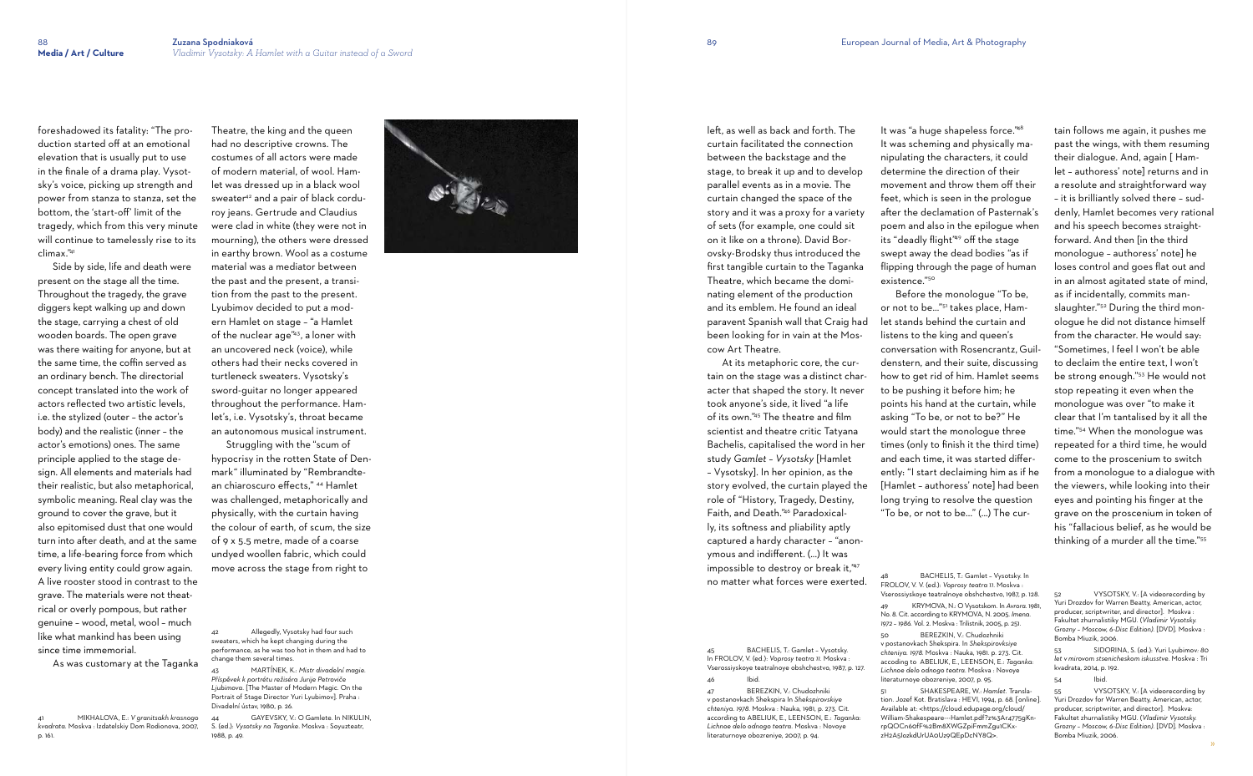foreshadowed its fatality: "The production started off at an emotional elevation that is usually put to use in the finale of a drama play. Vysotsky's voice, picking up strength and power from stanza to stanza, set the bottom, the 'start-o ff' limit of the tragedy, which from this very minute will continue to tamelessly rise to its climax."<sup>41</sup>

 Side by side, life and death were present on the stage all the time. Throughout the tragedy, the grave diggers kept walking up and down the stage, carrying a chest of old wooden boards. The open grave was there waiting for anyone, but at the same time, the co ffin served as an ordinary bench. The directorial concept translated into the work of actors reflected two artistic levels, i.e. the stylized (outer – the actor's body) and the realistic (inner – the actor's emotions) ones. The same principle applied to the stage de sign. All elements and materials had their realistic, but also metaphorical, symbolic meaning. Real clay was the ground to cover the grave, but it also epitomised dust that one would turn into a fter death, and at the same time, a life-bearing force from which every living entity could grow again. A live rooster stood in contrast to the grave. The materials were not theat rical or overly pompous, but rather genuine – wood, metal, wool – much like what mankind has been using since time immemorial.

Allegedly, Vysotsky had four such sweaters, which he kept changing during the performance, as he was too hot in them and had to change them several times.

As was customary at the Taganka

41 MIKHALOVA, E.: *V granitsakh krasnogo kvadrata*. Moskva : Izdatelskiy Dom Rodionova, 2007, p. 161.

GAYEVSKY, V.: O Gamlete. In NIKULIN, S. (ed.): *Vysotsky na Taganke*. Moskva : Soyuzteatr, 1988, p. 49.



Theatre, the king and the queen had no descriptive crowns. The costumes of all actors were made of modern material, of wool. Hamlet was dressed up in a black wool sweater<sup>42</sup> and a pair of black corduroy jeans. Gertrude and Claudius were clad in white (they were not in mourning), the others were dressed in earthy brown. Wool as a costume material was a mediator between the past and the present, a transition from the past to the present. Lyubimov decided to put a modern Hamlet on stage – "a Hamlet of the nuclear age"43, a loner with an uncovered neck (voice), while others had their necks covered in turtleneck sweaters. Vysotsky's sword-guitar no longer appeared throughout the performance. Hamlet's, i.e. Vysotsky's, throat became an autonomous musical instrument.

 Struggling with the "scum of hypocrisy in the rotten State of Denmark" illuminated by "Rembrandtean chiaroscuro effects," 44 Hamlet was challenged, metaphorically and physically, with the curtain having the colour of earth, of scum, the size of 9 x 5.5 metre, made of a coarse undyed woollen fabric, which could move across the stage from right to

43 MARTÍNEK, K.: *Mistr divadelní magie. Příspěvek k portrétu režiséra Jurije Petroviče Ljubimova.* [The Master of Modern Magic. On the Portrait of Stage Director Yuri Lyubimov]. Praha : Divadelní ústav, 1980, p. 26.

le ft, as well as back and forth. The curtain facilitated the connection between the backstage and the stage, to break it up and to develop parallel events as in a movie. The curtain changed the space of the story and it was a proxy for a variety of sets (for example, one could sit on it like on a throne). David Borovsky-Brodsky thus introduced the first tangible curtain to the Taganka Theatre, which became the dominating element of the production and its emblem. He found an ideal paravent Spanish wall that Craig had been looking for in vain at the Moscow Art Theatre.

 At its metaphoric core, the curtain on the stage was a distinct character that shaped the story. It never took anyone's side, it lived "a life of its own."45 The theatre and film scientist and theatre critic Tatyana Bachelis, capitalised the word in her study *Gamlet – Vysotsky* [Hamlet – Vysotsky]. In her opinion, as the story evolved, the curtain played the role of "History, Tragedy, Destiny, Faith, and Death."46 Paradoxically, its softness and pliability aptly captured a hardy character – "anonymous and indifferent. (...) It was impossible to destroy or break it,"47 no matter what forces were exerted.

45 BACHELIS, T.: Gamlet – Vysotsky. In FROLOV, V. (ed.): *Voprosy teatra 11*. Moskva : Vserossiyskoye teatralnoye obshchestvo, 1987, p. 127. 46 Ibid.

47 BEREZKIN, V.: Chudozhniki v postanovkach Shekspira In *Shekspirovskiye chteniya. 1978.* Moskva : Nauka, 1981, p. 273. Cit. according to ABELIUK, E., LEENSON, E.: *Taganka: Lichnoe delo odnogo teatra*. Moskva : Novoye literaturnoye obozreniye, 2007, p. 94.

It was "a huge shapeless force."<sup>48</sup> existence."<sup>50</sup>

It was scheming and physically manipulating the characters, it could determine the direction of their movement and throw them o ff their feet, which is seen in the prologue after the declamation of Pasternak's poem and also in the epilogue when its "deadly flight"49 o ff the stage swept away the dead bodies "as if flipping through the page of human

 Before the monologue "To be, or not to be…"51 takes place, Hamlet stands behind the curtain and listens to the king and queen's conversation with Rosencrantz, Guildenstern, and their suite, discussing how to get rid of him. Hamlet seems to be pushing it before him; he points his hand at the curtain, while asking "To be, or not to be?" He would start the monologue three times (only to finish it the third time) and each time, it was started di fferently: "I start declaiming him as if he [Hamlet – authoress' note] had been long trying to resolve the question "To be, or not to be..." (...) The cur-

49 KRYMOVA, N.: O Vysotskom. In *Avrora*. 1981, No. 8. Cit. according to KRYMOVA, N. 2005. *Imena.* 

*1972 – 1986.* Vol. 2. Moskva : Trilistnik, 2005, p. 251.

50 BEREZKIN, V.: Chudozhniki v postanovkach Shekspira. In *Shekspirovksiye chteniya. 1978.* Moskva : Nauka, 1981. p. 273. Cit. accoding to ABELIUK, E., LEENSON, E.: *Taganka:* 

*Lichnoe delo odnogo teatra*. Moskva : Novoye literaturnoye obozreniye, 2007, p. 95. 51 SHAKESPEARE, W.: *Hamlet.* Translation. Jozef Kot. Bratislava : HEVI, 1994, p. 68. [online ]. Available at: < https://cloud.edupage.org/cloud/ William-Shakespeare---Hamlet.pdf?z%3Ar4775gKnrpQOCn60fF%2Bm8XWGZpiFmmZgu1CKxzH2A5IozkdUrUA0Uz9QEpDcNY8Q>.

tain follows me again, it pushes me past the wings, with them resuming their dialogue. And, again [ Hamlet – authoress' note] returns and in a resolute and straightforward way – it is brilliantly solved there – suddenly, Hamlet becomes very rational and his speech becomes straightforward. And then [in the third monologue – authoress' note] he loses control and goes flat out and in an almost agitated state of mind, as if incidentally, commits manslaughter."<sup>52</sup> During the third monologue he did not distance himself from the character. He would say: "Sometimes, I feel I won't be able to declaim the entire text, I won't be strong enough." 53 He would not stop repeating it even when the monologue was over "to make it clear that I'm tantalised by it all the time." 54 When the monologue was repeated for a third time, he would come to the proscenium to switch from a monologue to a dialogue with the viewers, while looking into their eyes and pointing his finger at the grave on the proscenium in token of his "fallacious belief, as he would be thinking of a murder all the time." 55

53 SIDORINA, S. (ed.): Yuri Lyubimov*: 80 let v mirovom stsenicheskom iskusstve*. Moskva : Tri kvadrata, 2014, p. 192.

54 Ibid.

BACHELIS, T.: Gamlet - Vysotsky. In FROLOV, V. V. (ed.): *Voprosy teatra 11*. Moskva : Vserossiyskoye teatralnoye obshchestvo, 1987, p. 128.

<sup>52</sup> VYSOTSKY, V.: [A videorecording by Yuri Drozdov for Warren Beatty, American, actor, producer, scriptwriter, and director]. Moskva : Fakultet zhurnalistiky MGU. (*Vladimir Vysotsky. Grozny – Moscow, 6-Disc Edition).* [DVD]*.* Moskva : Bomba Miuzik, 2006.

<sup>55</sup> VYSOTSKY, V.: [A videorecording by Yuri Drozdov for Warren Beatty, American, actor, producer, scriptwriter, and director]. Moskva: Fakultet zhurnalistiky MGU. (*Vladimir Vysotsky. Grozny – Moscow, 6-Disc Edition).* [DVD]*.* Moskva : Bomba Miuzik, 2006.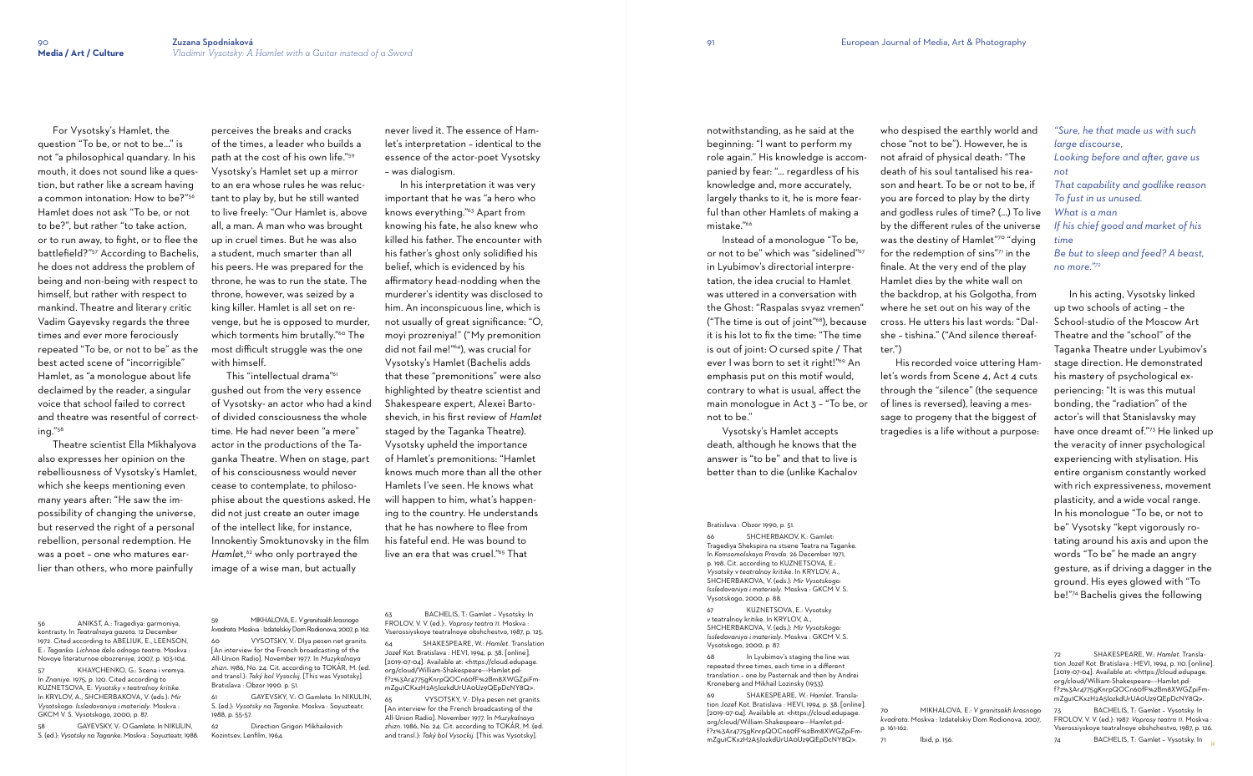For Vysotsky's Hamlet, the question "To be, or not to be…" is not "a philosophical quandary. In his mouth, it does not sound like a question, but rather like a scream having a common intonation: How to be?"<sup>56</sup> Hamlet does not ask "To be, or not to be?", but rather "to take action, or to run away, to fight, or to flee the battlefield?"57 According to Bachelis, he does not address the problem of being and non-being with respect to himself, but rather with respect to mankind. Theatre and literary critic Vadim Gayevsky regards the three times and ever more ferociously repeated "To be, or not to be" as the best acted scene of "incorrigible" Hamlet, as "a monologue about life declaimed by the reader, a singular voice that school failed to correct and theatre was resentful of correcting."<sup>58</sup>

KHAYCHENKO, G.: Scena i vremya. In *Znaniye*. 1975, p. 120. Cited according to KUZNETSOVA, E: *Vysotsky v teatralnoy kritike*. In KRYLOV, A., SHCHERBAKOVA, V. (eds.): *Mir Vysotskogo: Issledovaniya i materialy*. Moskva : GKCM V. S. Vysotskogo, 2000, p. 87.

 Theatre scientist Ella Mikhalyova also expresses her opinion on the rebelliousness of Vysotsky's Hamlet, which she keeps mentioning even many years after: "He saw the impossibility of changing the universe, but reserved the right of a personal rebellion, personal redemption. He was a poet – one who matures earlier than others, who more painfully

56 ANIKST, A.: Tragediya: garmoniya, kontrasty. In *Teatralnaya gazeta*. 12 December 1972. Cited according to ABELIUK, E., LEENSON, E.: *Taganka: Lichnoe delo odnogo teatra*. Moskva : Novoye literaturnoe obozreniye, 2007, p. 103-104.

> GAYEVSKY, V.: O Gamlete. In NIKULIN, S. (ed.): *Vysotsky na Taganke*. Moskva : Soyuzteatr, 1988, p. 55-57.

62 Direction Grigori Mikhailovich Kozintsev, Lenfilm, 1964.

58 GAYEVSKY, V.: O Gamlete. In NIKULIN, S. (ed.): *Vysotsky na Taganke*. Moskva : Soyuzteatr, 1988.

 In his interpretation it was very important that he was "a hero who knows everything."63 Apart from knowing his fate, he also knew who killed his father. The encounter with his father's ghost only solidified his belief, which is evidenced by his affirmatory head-nodding when the murderer's identity was disclosed to him. An inconspicuous line, which is not usually of great significance: "O, moyi prozreniya!" ("My premonition did not fail me!"64), was crucial for Vysotsky's Hamlet (Bachelis adds that these "premonitions" were also highlighted by theatre scientist and Shakespeare expert, Alexei Bartoshevich, in his first review of *Hamlet*  staged by the Taganka Theatre). Vysotsky upheld the importance of Hamlet's premonitions: "Hamlet knows much more than all the other Hamlets I've seen. He knows what will happen to him, what's happening to the country. He understands that he has nowhere to flee from his fateful end. He was bound to live an era that was cruel."<sup>65</sup> That

perceives the breaks and cracks of the times, a leader who builds a path at the cost of his own life."<sup>59</sup> Vysotsky's Hamlet set up a mirror to an era whose rules he was reluctant to play by, but he still wanted to live freely: "Our Hamlet is, above all, a man. A man who was brought up in cruel times. But he was also a student, much smarter than all his peers. He was prepared for the throne, he was to run the state. The throne, however, was seized by a king killer. Hamlet is all set on revenge, but he is opposed to murder, which torments him brutally."<sup>60</sup> The most difficult struggle was the one with himself.

> BACHELIS, T.: Gamlet - Vysotsky. In FROLOV, V. V. (ed.):. *Voprosy teatra 11*. Moskva : Vserossiyskoye teatralnoye obshchestvo, 1987, p. 125.

> VYSOTSKY, V.: Dlya pesen net granits. [An interview for the French broadcasting of the All-Union Radio]. November 1977. In *Muzykalnaya zhizn.* 1986, No. 24. Cit. according to TOKÁR, M. (ed. and transl.): *Taký bol Vysockij.* [This was Vysotsky].

 This "intellectual drama"<sup>61</sup> gushed out from the very essence of Vysotsky- an actor who had a kind of divided consciousness the whole time. He had never been "a mere" actor in the productions of the Taganka Theatre. When on stage, part of his consciousness would never cease to contemplate, to philosophise about the questions asked. He did not just create an outer image of the intellect like, for instance, Innokentiy Smoktunovsky in the film *Hamlet*,<sup>62</sup> who only portrayed the image of a wise man, but actually

59 MIKHALOVA, E.: *Vgranitsakh krasnogo kvadrata*. Moskva : Izdatelskiy Dom Rodionova, 2007, p. 162.

60 VYSOTSKY, V.: Dlya pesen net granits. [An interview for the French broadcasting of the All-Union Radio]. November 1977. In *Muzykalnaya zhizn.* 1986, No. 24. Cit. according to TOKÁR, M. (ed. and transl.): *Taký bol Vysockij.* [This was Vysotsky]. Bratislava : Obzor 1990*.* p. 51.

KUZNETSOVA, E.: Vysotsky *v* teatralnoy kritike. In KRYLOV, A., SHCHERBAKOVA, V. (eds.): *Mir Vysotskogo: Issledovaniya i materialy*. Moskva : GKCM V. S. Vysotskogo, 2000, p. 87.

never lived it. The essence of Hamlet's interpretation – identical to the essence of the actor-poet Vysotsky – was dialogism.

64 SHAKESPEARE, W.: *Hamlet.* Translation Jozef Kot. Bratislava : HEVI, 1994, p. 38. [online]. [2019-07-04]. Available at: <https://cloud.edupage. org/cloud/William-Shakespeare---Hamlet.pdf?z%3Ar4775gKnrpQOCn60fF%2Bm8XWGZpiFmmZgu1CKxzH2A5IozkdUrUA0Uz9QEpDcNY8Q>.

notwithstanding, as he said at the beginning: "I want to perform my role again." His knowledge is accompanied by fear: "… regardless of his knowledge and, more accurately, largely thanks to it, he is more fearful than other Hamlets of making a mistake."<sup>66</sup>

 Instead of a monologue "To be, or not to be" which was "sidelined"<sup>67</sup> in Lyubimov's directorial interpretation, the idea crucial to Hamlet was uttered in a conversation with the Ghost: "Raspalas svyaz vremen" ("The time is out of joint"68), because it is his lot to fix the time: "The time is out of joint: O cursed spite / That ever I was born to set it right!"<sup>69</sup> An emphasis put on this motif would, contrary to what is usual, affect the main monologue in Act 3 – "To be, or not to be."

 Vysotsky's Hamlet accepts death, although he knows that the answer is "to be" and that to live is better than to die (unlike Kachalov

Bratislava : Obzor 1990*,* p. 51.

66 SHCHERBAKOV, K.: Gamlet: Tragediya Shekspira na stsene Teatra na Taganke. In *Komsomolskaya Pravda.* 26 December 1971, p. 198. Cit. according to KUZNETSOVA, E.: *Vysotsky* v *teatralnoy kritike*. In KRYLOV, A., SHCHERBAKOVA, V. (eds.): *Mir Vysotskogo: Issledovaniya i materialy*. Moskva : GKCM V. S. Vysotskogo, 2000, p. 88.

68 In Lyubimov's staging the line was repeated three times, each time in a different translation – one by Pasternak and then by Andrei Kroneberg and Mikhail Lozinsky (1933).

69 SHAKESPEARE, W.: *Hamlet.* Translation Jozef Kot. Bratislava : HEVI, 1994, p. 38. [online]. [2019-07-04]. Available at: <https://cloud.edupage. org/cloud/William-Shakespeare---Hamlet.pdf?z%3Ar4775gKnrpQOCn60fF%2Bm8XWGZpiFmmZgu1CKxzH2A5IozkdUrUA0Uz9QEpDcNY8Q>.

who despised the earthly world and chose "not to be"). However, he is not afraid of physical death: "The death of his soul tantalised his reason and heart. To be or not to be, if you are forced to play by the dirty and godless rules of time? (...) To live by the different rules of the universe was the destiny of Hamlet"70 "dying for the redemption of sins"71 in the finale. At the very end of the play Hamlet dies by the white wall on the backdrop, at his Golgotha, from where he set out on his way of the cross. He utters his last words: "Dalshe – tishina." ("And silence thereaf-

ter.")

 His recorded voice uttering Hamlet's words from Scene 4, Act 4 cuts through the "silence" (the sequence of lines is reversed), leaving a message to progeny that the biggest of tragedies is a life without a purpose:

70 MIKHALOVA, E.: *V granitsakh krasnogo kvadrata*. Moskva : Izdatelskiy Dom Rodionova, 2007, p. 161-162.

Ibid, p. 156.

*"Sure, he that made us with such large discourse, Looking before and after, gave us not That capability and godlike reason To fust in us unused. What is a man If his chief good and market of his time Be but to sleep and feed? A beast, no more." 72*

 In his acting, Vysotsky linked up two schools of acting – the School-studio of the Moscow Art Theatre and the "school" of the Taganka Theatre under Lyubimov's stage direction. He demonstrated his mastery of psychological experiencing: "It is was this mutual bonding, the "radiation" of the actor's will that Stanislavsky may have once dreamt of." 73 He linked up the veracity of inner psychological experiencing with stylisation. His entire organism constantly worked with rich expressiveness, movement plasticity, and a wide vocal range. In his monologue "To be, or not to be" Vysotsky "kept vigorously rotating around his axis and upon the words "To be" he made an angry gesture, as if driving a dagger in the ground. His eyes glowed with "To be!" 74 Bachelis gives the following

72 SHAKESPEARE, W.: *Hamlet.* Translation Jozef Kot. Bratislava : HEVI, 1994, p. 110. [online]. [2019-07-04]. Available at: <https://cloud.edupage. org/cloud/William-Shakespeare---Hamlet.pdf?z%3Ar4775gKnrpQOCn60fF%2Bm8XWGZpiFmmZgu1CKxzH2A5IozkdUrUA0Uz9QEpDcNY8Q>.

73 BACHELIS, T.: Gamlet – Vysotsky. In FROLOV, V. V. (ed.): 1987. *Voprosy teatra 11*. Moskva : Vserossiyskoye teatralnoye obshchestvo, 1987, p. 126.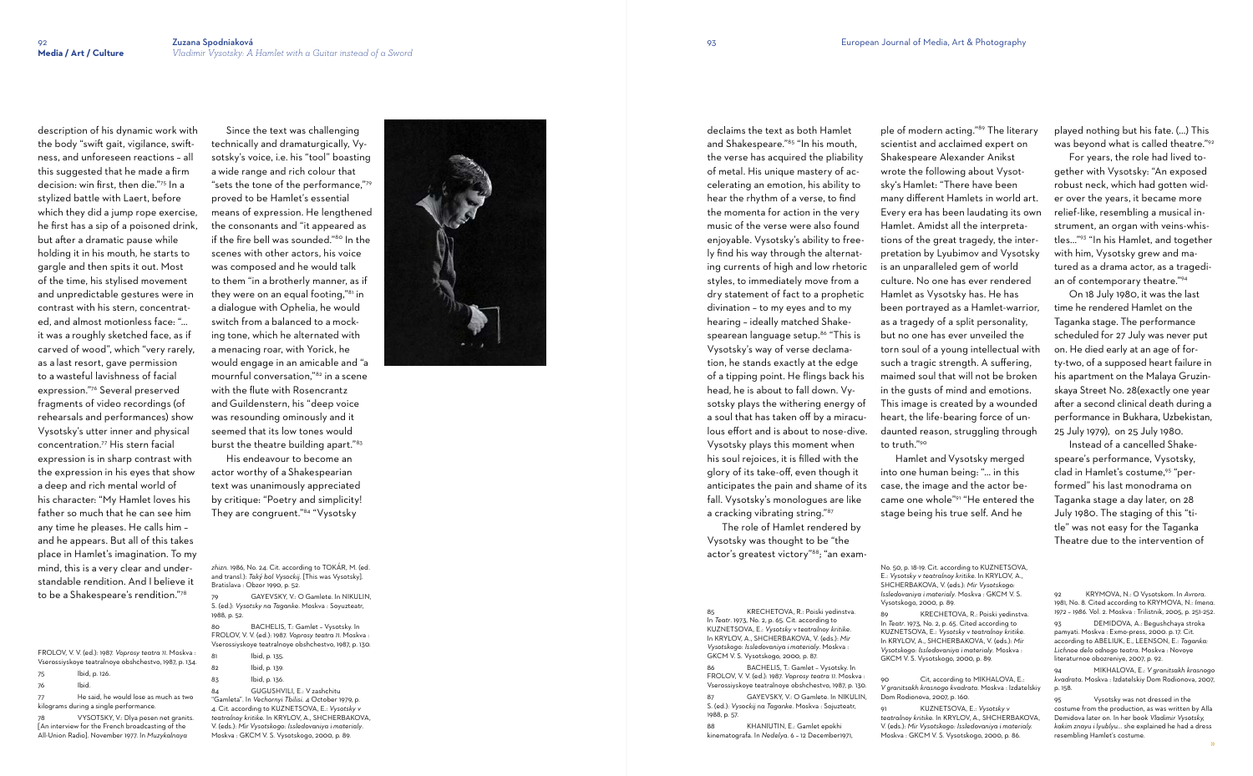description of his dynamic work with the body "swift gait, vigilance, swiftness, and unforeseen reactions – all this suggested that he made a firm decision: win first, then die."75 In a stylized battle with Laert, before which they did a jump rope exercise, he first has a sip of a poisoned drink, but a fter a dramatic pause while holding it in his mouth, he starts to gargle and then spits it out. Most of the time, his stylised movement and unpredictable gestures were in contrast with his stern, concentrated, and almost motionless face: "… it was a roughly sketched face, as if carved of wood", which "very rarely, as a last resort, gave permission to a wasteful lavishness of facial expression."76 Several preserved fragments of video recordings (of rehearsals and performances) show Vysotsky's utter inner and physical concentration.77 His stern facial expression is in sharp contrast with the expression in his eyes that show a deep and rich mental world of his character: "My Hamlet loves his father so much that he can see him any time he pleases. He calls him – and he appears. But all of this takes place in Hamlet's imagination. To my mind, this is a very clear and understandable rendition. And I believe it to be a Shakespeare's rendition."<sup>78</sup>

He said, he would lose as much as two kilograms during a single performance.

FROLOV, V. V. (ed.): 1987. *Voprosy teatra 11*. Moskva : Vserossiyskoye teatralnoye obshchestvo, 1987, p. 134.

GAYEVSKY, V.: O Gamlete. In NIKULIN, S. (ed.): *Vysotsky na Taganke*. Moskva : Soyuzteatr, 1988, p. 52.

- 75 Ibid, p. 126.
- 76 Ibid.
- 

78 VYSOTSKY, V.: Dlya pesen net granits. [An interview for the French broadcasting of the All-Union Radio]. November 1977. In *Muzykalnaya* 

 Since the text was challenging technically and dramaturgically, Vysotsky's voice, i.e. his "tool" boasting a wide range and rich colour that "sets the tone of the performance,"<sup>79</sup> proved to be Hamlet's essential means of expression. He lengthened the consonants and "it appeared as if the fire bell was sounded."80 In the scenes with other actors, his voice was composed and he would talk to them "in a brotherly manner, as if they were on an equal footing,"<sup>81</sup> in<br>a dialogue with Ophelia, he would switch from a balanced to a mocking tone, which he alternated with a menacing roar, with Yorick, he would engage in an amicable and "a mournful conversation,"82 in a scene with the flute with Rosencrantz and Guildenstern, his "deep voice was resounding ominously and it seemed that its low tones would burst the theatre building apart."<sup>83</sup>

> The role of Hamlet rendered by Vysotsky was thought to be "the actor's greatest victory"<sup>88</sup>; "an exam-

 His endeavour to become an actor worthy of a Shakespearian text was unanimously appreciated by critique: "Poetry and simplicity! They are congruent."84 "Vysotsky

*zhizn.* 1986, No. 24. Cit. according to TOKÁR, M. (ed. and transl.): *Tak ý bol Vysockij.* [This was Vysotsky]. Bratislava : Obzor 1990 *,* p. 52.

80 BACHELIS, T.: Gamlet – Vysotsky. In FROLOV, V. V. (ed.): 1987. *Voprosy teatra 11*. Moskva : Vserossiyskoye teatralnoye obshchestvo, 1987, p. 130.

| 81 | lbid, p. 135. |
|----|---------------|
| 82 | lbid, p. 139. |

83 Ibid, p. 136.

84 GUGUSHVILI, E.: V zashchitu "Gamleta". In *Vechornyi Tbilisi*. 4 October 1979, p. 4. Cit. according to KUZNETSOVA, E.: *Vysotsky v teatralnoy kritike*. In KRYLOV, A., SHCHERBAKOVA, V. (eds.): *Mir Vysotskogo: Issledovaniya i materialy*. Moskva : GKCM V. S. Vysotskogo, 2000, p. 89.



Cit, according to MIKHALOVA, E.: *V granitsakh krasnogo kvadrata*. Moskva : Izdatelskiy Dom Rodionova, 2007, p. 160.

declaims the text as both Hamlet and Shakespeare."85 "In his mouth, the verse has acquired the pliability of metal. His unique mastery of accelerating an emotion, his ability to hear the rhythm of a verse, to find the momenta for action in the very music of the verse were also found enjoyable. Vysotsky's ability to freely find his way through the alternating currents of high and low rhetoric styles, to immediately move from a dry statement of fact to a prophetic divination – to my eyes and to my hearing – ideally matched Shakespearean language setup.<sup>86</sup> "This is Vysotsky's way of verse declamation, he stands exactly at the edge of a tipping point. He flings back his head, he is about to fall down. Vysotsky plays the withering energy of a soul that has taken o ff by a miraculous effort and is about to nose-dive. Vysotsky plays this moment when his soul rejoices, it is filled with the glory of its take-o ff, even though it anticipates the pain and shame of its fall. Vysotsky's monologues are like a cracking vibrating string."<sup>87</sup>

85 KRECHETOVA, R.: Poiski yedinstva. In *Teatr*. 1973, No. 2, p. 65. Cit. according to KUZNETSOVA, E.: *Vysotsky* v *teatralnoy kritike*. In KRYLOV, A., SHCHERBAKOVA, V. (eds.): *Mir Vysotskogo: Issledovaniya i materialy*. Moskva : GKCM V. S. Vysotskogo, 2000, p. 87.

86 BACHELIS, T.: Gamlet – Vysotsky. In FROLOV, V. V. (ed.): 1987. *Voprosy teatra 11*. Moskva : Vserossiyskoye teatralnoye obshchestvo, 1987, p. 130. 87 GAYEVSKY, V.: O Gamlete. In NIKULIN, S. (ed.): *Vysockij na Taganke*. Moskva : Sojuzteatr, 1988, p. 57.

88 KHANIUTIN, E.: Gamlet epokhi kinematografa. In *Nedelya*. 6 – 12 December1971,

ple of modern acting."89 The literary scientist and acclaimed expert on Shakespeare Alexander Anikst wrote the following about Vysotsky's Hamlet: "There have been many di fferent Hamlets in world art. Every era has been laudating its own Hamlet. Amidst all the interpretations of the great tragedy, the interpretation by Lyubimov and Vysotsky is an unparalleled gem of world culture. No one has ever rendered Hamlet as Vysotsky has. He has been portrayed as a Hamlet-warrior, as a tragedy of a split personality, but no one has ever unveiled the torn soul of a young intellectual with such a tragic strength. A suffering, maimed soul that will not be broken in the gusts of mind and emotions. This image is created by a wounded heart, the life-bearing force of undaunted reason, struggling through to truth."<sup>90</sup> Hamlet and Vysotsky merged

into one human being: "… in this case, the image and the actor became one whole"91 "He entered the stage being his true self. And he

No. 50, p. 18-19. Cit. according to KUZNETSOVA, Vysotskogo, 2000, p. 89.

89 KRECHETOVA, R.: Poiski yedinstva. In *Teatr*. 1973, No. 2, p. 65. Cited according to KUZNETSOVA, E.: *Vysotsky* v *teatralnoy kritike*. In KRYLOV, A., SHCHERBAKOVA, V. (eds.): *Mir Vysotskogo: Issledovaniya i materialy*. Moskva : GKCM V. S. Vysotskogo, 2000, p. 89.

91 KUZNETSOVA, E.: *Vysotsky v teatralnoy kritike*. In KRYLOV, A., SHCHERBAKOVA, V. (eds.): *Mir Vysotskogo: Issledovaniya i materialy.*  Moskva : GKCM V. S. Vysotskogo, 2000, p. 86.

played nothing but his fate. (...) This was beyond what is called theatre." 92

 For years, the role had lived together with Vysotsky: "An exposed robust neck, which had gotten wider over the years, it became more relief-like, resembling a musical instrument, an organ with veins-whistles..." 93 "In his Hamlet, and together with him, Vysotsky grew and matured as a drama actor, as a tragedian of contemporary theatre." 94

 On 18 July 1980, it was the last time he rendered Hamlet on the Taganka stage. The performance scheduled for 27 July was never put on. He died early at an age of for ty-two, of a supposed heart failure in his apartment on the Malaya Gruzin skaya Street No. 28(exactly one year after a second clinical death during a performance in Bukhara, Uzbekistan, 25 July 1979), on 25 July 1980.

 Instead of a cancelled Shakespeare's performance, Vysotsky, clad in Hamlet's costume,<sup>95</sup> "performed" his last monodrama on Taganka stage a day later, on 28 July 1980. The staging of this "title" was not easy for the Taganka Theatre due to the intervention of

E.: *Vysotsky v teatralnoy kritike*. In KRYLOV, A., SHCHERBAKOVA, V. (eds.): *Mir Vysotskogo: Issledovaniya i materialy*. Moskva : GKCM V. S.

<sup>92</sup> KRYMOVA, N.: O Vysotskom. In *Avrora*. 1981, No. 8. Cited according to KRYMOVA, N.: *Imena. 1972 – 1986.* Vol. 2. Moskva : Trilistnik, 2005, p. 251-252. 93 DEMIDOVA, A.: Begushchaya stroka pamyati. Moskva : Exmo-press, 2000. p. 17. Cit. according to ABELIUK, E., LEENSON, E.: *Taganka: Lichnoe delo odnogo teatra*. Moskva : Novoye literaturnoe obozreniye, 2007, p. 92.

<sup>94</sup> MIKHALOVA, E.: *V granitsakh krasnogo kvadrata*. Moskva : Izdatelskiy Dom Rodionova, 2007, p. 158.

<sup>95</sup> Vysotsky was not dressed in the costume from the production, as was written by Alla Demidova later on. In her book *Vladimir Vysotsky, kakim znayu i lyublyu...* she explained he had a dress resembling Hamlet's costume.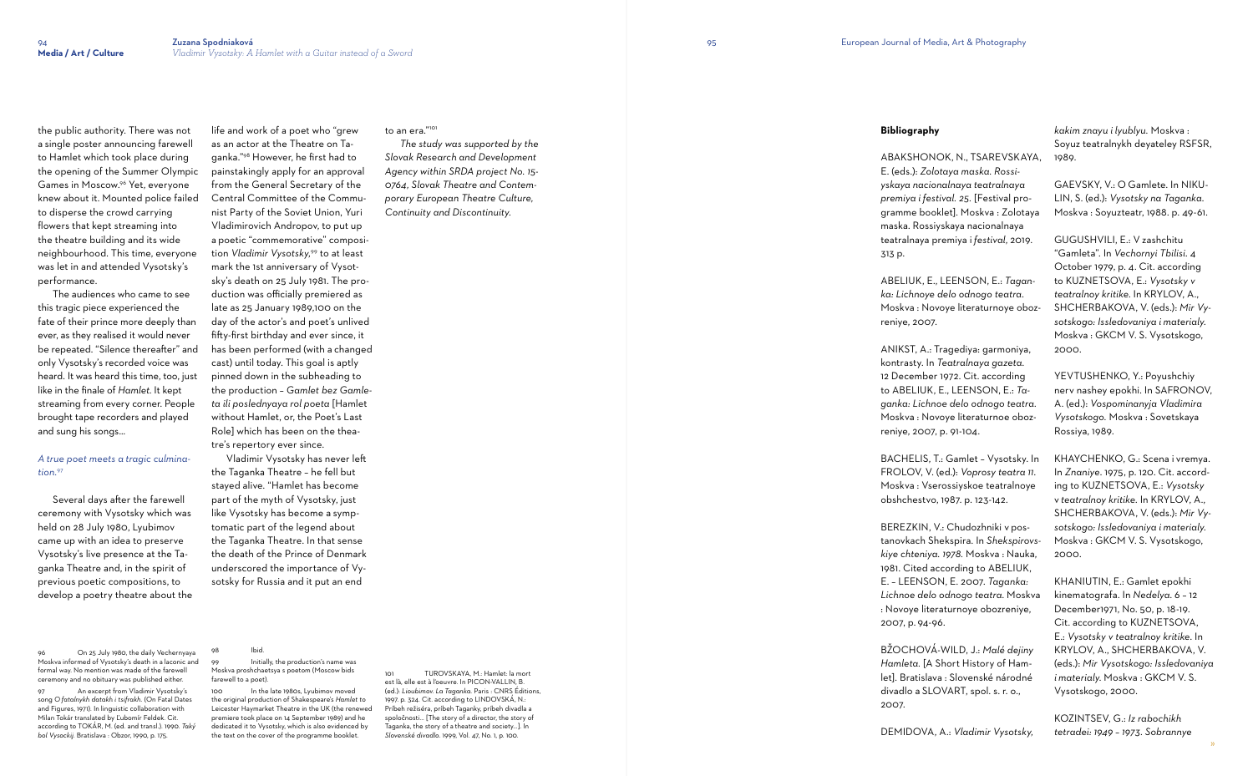to an era."<sup>101</sup>

the public authority. There was not a single poster announcing farewell to Hamlet which took place during the opening of the Summer Olympic Games in Moscow.96 Yet, everyone knew about it. Mounted police failed to disperse the crowd carrying flowers that kept streaming into the theatre building and its wide neighbourhood. This time, everyone was let in and attended Vysotsky's performance.

 The audiences who came to see this tragic piece experienced the fate of their prince more deeply than ever, as they realised it would never be repeated. "Silence thereafter" and only Vysotsky's recorded voice was heard. It was heard this time, too, just like in the finale of *Hamlet.* It kept streaming from every corner. People brought tape recorders and played and sung his songs...

# *A true poet meets a tragic culmination.*<sup>97</sup>

 Several days after the farewell ceremony with Vysotsky which was held on 28 July 1980, Lyubimov came up with an idea to preserve Vysotsky's live presence at the Taganka Theatre and, in the spirit of previous poetic compositions, to develop a poetry theatre about the

96 On 25 July 1980, the daily Vechernyaya Moskva informed of Vysotsky's death in a laconic and formal way. No mention was made of the farewell ceremony and no obituary was published either.

97 An excerpt from Vladimir Vysotsky's song *O fatalnykh datakh i tsifrakh.* (On Fatal Dates and Figures, 1971). In linguistic collaboration with Milan Tokár translated by Ľubomír Feldek. Cit. according to TOKÁR, M. (ed. and transl.). 1990. *Taký bol Vysockij.* Bratislava : Obzor, 1990, p. 175.

life and work of a poet who "grew as an actor at the Theatre on Taganka."98 However, he first had to painstakingly apply for an approval from the General Secretary of the Central Committee of the Communist Party of the Soviet Union, Yuri Vladimirovich Andropov, to put up a poetic "commemorative" composition *Vladimir Vysotsky,*<sup>99</sup> to at least mark the 1st anniversary of Vysotsky's death on 25 July 1981. The production was officially premiered as late as 25 January 1989,100 on the day of the actor's and poet's unlived fifty-first birthday and ever since, it has been performed (with a changed cast) until today. This goal is aptly pinned down in the subheading to the production – *Gamlet bez Gamleta ili poslednyaya rol poeta* [Hamlet without Hamlet, or, the Poet's Last Role] which has been on the thea-

tre's repertory ever since. Vladimir Vysotsky has never left the Taganka Theatre – he fell but stayed alive. "Hamlet has become part of the myth of Vysotsky, just like Vysotsky has become a symptomatic part of the legend about the Taganka Theatre. In that sense the death of the Prince of Denmark underscored the importance of Vysotsky for Russia and it put an end

Ibid.

#### Initially, the production's name was Moskva proshchaetsya s poetom (Moscow bids farewell to a poet).

100 In the late 1980s, Lyubimov moved the original production of Shakespeare's *Hamlet to* Leicester Haymarket Theatre in the UK (the renewed premiere took place on 14 September 1989) and he dedicated it to Vysotsky, which is also evidenced by the text on the cover of the programme booklet.

 *The study was supported by the Slovak Research and Development Agency within SRDA project No. 15- 0764, Slovak Theatre and Contemporary European Theatre Culture, Continuity and Discontinuity.* 

101 TUROVSKAYA, M.: Hamlet: la mort est là, elle est à l'oeuvre. In PICON-VALLIN, B. (ed.): *Lioubimov. La Taganka.* Paris : CNRS Éditions, 1997. p. 324. Cit. according to LINDOVSKÁ, N.: Príbeh režiséra, príbeh Taganky, príbeh divadla a spoločnosti... [The story of a director, the story of Taganka, the story of a theatre and society...]. In *Slovenské divadlo*. 1999, Vol. 47, No. 1, p. 100.

# **Bibliography**

ABAKSHONOK, N., TSAREVSKAYA, E. (eds.): *Zolotaya maska. Rossiyskaya nacionalnaya teatralnaya premiya i festival. 25.* [Festival programme booklet]. Moskva : Zolotaya maska. Rossiyskaya nacionalnaya teatralnaya premiya i *festival*, 2019. 313 p.

ABELIUK, E., LEENSON, E.: *Taganka: Lichnoye delo odnogo teatra*. Moskva : Novoye literaturnoye oboz-

reniye, 2007.

ANIKST, A.: Tragediya: garmoniya, kontrasty. In *Teatralnaya gazeta*. 12 December 1972. Cit. according to ABELIUK, E., LEENSON, E.: *Taganka: Lichnoe delo odnogo teatra*. Moskva : Novoye literaturnoe obozreniye, 2007, p. 91-104.

BACHELIS, T.: Gamlet – Vysotsky. In FROLOV, V. (ed.): *Voprosy teatra 11*. Moskva : Vserossiyskoe teatralnoye obshchestvo, 1987. p. 123-142.

BEREZKIN, V.: Chudozhniki v postanovkach Shekspira. In *Shekspirovskiye chteniya. 1978.* Moskva : Nauka, 1981. Cited according to ABELIUK, E. – LEENSON, E. 2007. *Taganka: Lichnoe delo odnogo teatra*. Moskva : Novoye literaturnoye obozreniye, 2007, p. 94-96.

BŽOCHOVÁ-WILD, J.: *Malé dejiny Hamleta.* [A Short History of Hamlet]. Bratislava : Slovenské národné divadlo a SLOVART, spol. s. r. o.,

2007.

DEMIDOVA, A.: *Vladimir Vysotsky,* 

*kakim znayu i lyublyu.* Moskva : Soyuz teatralnykh deyateley RSFSR, 1989.

GAEVSKY, V.: O Gamlete. In NIKU-LIN, S. (ed.): *Vysotsky na Taganka*. Moskva : Soyuzteatr, 1988. p. 49-61.

GUGUSHVILI, E.: V zashchitu "Gamleta". In *Vechornyi Tbilisi*. 4 October 1979, p. 4. Cit. according to KUZNETSOVA, E.: *Vysotsky v teatralnoy kritike*. In KRYLOV, A., SHCHERBAKOVA, V. (eds.): *Mir Vysotskogo: Issledovaniya i materialy*. Moskva : GKCM V. S. Vysotskogo, 2000.

YEVTUSHENKO, Y.: Poyushchiy nerv nashey epokhi. In SAFRONOV, A. (ed.): *Vospominanyja Vladimira Vysotskogo.* Moskva : Sovetskaya Rossiya, 1989.

KHAYCHENKO, G.: Scena i vremya. In *Znaniye*. 1975, p. 120. Cit. according to KUZNETSOVA, E.: *Vysotsky* v *teatralnoy kritike*. In KRYLOV, A., SHCHERBAKOVA, V. (eds.): *Mir Vysotskogo: Issledovaniya i materialy*. Moskva : GKCM V. S. Vysotskogo, 2000.

KHANIUTIN, E.: Gamlet epokhi kinematografa. In *Nedelya*. 6 – 12 December1971, No. 50, p. 18-19. Cit. according to KUZNETSOVA, E.: *Vysotsky v teatralnoy kritike*. In KRYLOV, A., SHCHERBAKOVA, V. (eds.): *Mir Vysotskogo: Issledovaniya i materialy*. Moskva : GKCM V. S. Vysotskogo, 2000.

KOZINTSEV, G.: *Iz rabochikh tetradei: 1949 – 1973. Sobrannye*